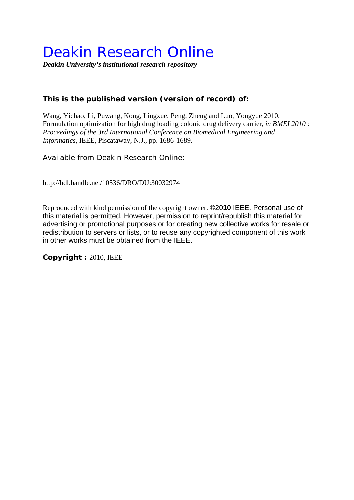# Deakin Research Online

*Deakin University's institutional research repository* 

### **This is the published version (version of record) of:**

Wang, Yichao, Li, Puwang, Kong, Lingxue, Peng, Zheng and Luo, Yongyue 2010, Formulation optimization for high drug loading colonic drug delivery carrier*, in BMEI 2010 : Proceedings of the 3rd International Conference on Biomedical Engineering and Informatics*, IEEE, Piscataway, N.J., pp. 1686-1689.

Available from Deakin Research Online:

http://hdl.handle.net/10536/DRO/DU:30032974

Reproduced with kind permission of the copyright owner. ©20**10** IEEE. Personal use of this material is permitted. However, permission to reprint/republish this material for advertising or promotional purposes or for creating new collective works for resale or redistribution to servers or lists, or to reuse any copyrighted component of this work in other works must be obtained from the IEEE.

**Copyright :** 2010, IEEE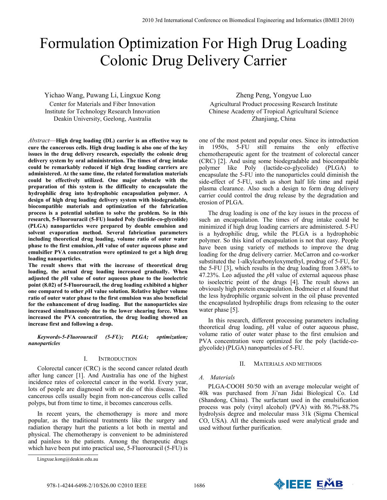## Formulation Optimization For High Drug Loading Colonic Drug Delivery Carrier

Yichao Wang, Puwang Li, Lingxue Kong Center for Materials and Fiber Innovation Institute for Technology Research Innovation Deakin University, Geelong, Australia

*Abstract*—**High drug loading (DL) carrier is an effective way to cure the cancerous cells. High drug loading is also one of the key issues in the drug delivery research, especially the colonic drug delivery system by oral administration. The times of drug intake could be remarkably reduced if high drug loading carriers are administered. At the same time, the related formulation materials could be effectively utilized. One major obstacle with the preparation of this system is the difficulty to encapsulate the hydrophilic drug into hydrophobic encapsulation polymer. A design of high drug loading delivery system with biodegradable, biocompatible materials and optimization of the fabrication process is a potential solution to solve the problem. So in this research, 5-Fluorouracil (5-FU) loaded Poly (lactide-co-glycolide) (PLGA) nanoparticles were prepared by double emulsion and solvent evaporation method. Several fabrication parameters including theoretical drug loading, volume ratio of outer water phase to the first emulsion,** *p***H value of outer aqueous phase and emulsifier PVA concentration were optimized to get a high drug loading nanoparticles.** 

**The result shows that with the increase of theoretical drug loading, the actual drug loading increased gradually. When adjusted the** *p***H value of outer aqueous phase to the isoelectric point (8.02) of 5-Fluorouracil, the drug loading exhibited a higher one compared to other** *p***H value solution. Relative higher volume ratio of outer water phase to the first emulsion was also beneficial for the enhancement of drug loading. But the nanoparticles size increased simultaneously due to the lower shearing force. When increased the PVA concentration, the drug loading showed an increase first and following a drop.** 

*Keywords-5-Fluorouracil (5-FU); PLGA; optimization; nanoparticles* 

#### I. INTRODUCTION

Colorectal cancer (CRC) is the second cancer related death after lung cancer [1]. And Australia has one of the highest incidence rates of colorectal cancer in the world. Every year, lots of people are diagnosed with or die of this disease. The cancerous cells usually begin from non-cancerous cells called polyps, but from time to time, it becomes cancerous cells.

In recent years, the chemotherapy is more and more popular, as the traditional treatments like the surgery and radiation therapy hurt the patients a lot both in mental and physical. The chemotherapy is convenient to be administered and painless to the patients. Among the therapeutic drugs which have been put into practical use, 5-Fluorouracil (5-FU) is

Zheng Peng, Yongyue Luo Agricultural Product processing Research Institute Chinese Academy of Tropical Agricultural Science Zhanjiang, China

one of the most potent and popular ones. Since its introduction in 1950s, 5-FU still remains the only effective chemotherapeutic agent for the treatment of colorectal cancer (CRC) [2]. And using some biodegradable and biocompatible polymer like Poly (lactide-co-glycolide) (PLGA) to encapsulate the 5-FU into the nanoparticles could diminish the side-effect of 5-FU, such as short half life time and rapid plasma clearance. Also such a design to form drug delivery carrier could control the drug release by the degradation and erosion of PLGA.

The drug loading is one of the key issues in the process of such an encapsulation. The times of drug intake could be minimized if high drug loading carriers are administered. 5-FU is a hydrophilic drug, while the PLGA is a hydrophobic polymer. So this kind of encapsulation is not that easy. People have been using variety of methods to improve the drug loading for the drug delivery carrier. McCarron and co-worker substituted the 1-alkylcarbonyloxymethyl, prodrug of 5-FU, for the 5-FU [3], which results in the drug loading from 3.68% to 47.23%. Leo adjusted the *p*H value of external aqueous phase to isoelectric point of the drugs [4]. The result shows an obviously high protein encapsulation. Bodmeier et al found that the less hydrophilic organic solvent in the oil phase prevented the encapsulated hydrophilic drugs from releasing to the outer water phase [5].

In this research, different processing parameters including theoretical drug loading, *p*H value of outer aqueous phase, volume ratio of outer water phase to the first emulsion and PVA concentration were optimized for the poly (lactide-coglycolide) (PLGA) nanoparticles of 5-FU.

#### II. MATERIALS AND METHODS

#### *A. Materials*

PLGA-COOH 50/50 with an average molecular weight of 40k was purchased from Ji'nan Jidai Biological Co. Ltd (Shandong, China). The surfactant used in the emulsification process was poly (vinyl alcohol) (PVA) with 86.7%-88.7% hydrolysis degree and molecular mass 31k (Sigma Chemical CO, USA). All the chemicals used were analytical grade and used without further purification.



Lingxue.kong@deakin.edu.au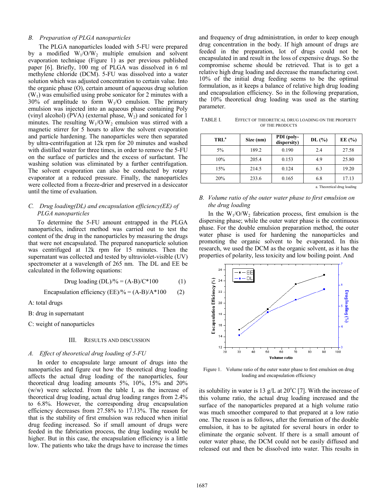#### *B. Preparation of PLGA nanoparticles*

 The PLGA nanoparticles loaded with 5-FU were prepared by a modified  $W_1/O/W_2$  multiple emulsion and solvent evaporation technique (Figure 1) as per previous published paper [6]. Briefly, 100 mg of PLGA was dissolved in 6 ml methylene chloride (DCM). 5-FU was dissolved into a water solution which was adjusted concentration to certain value. Into the organic phase (O), certain amount of aqueous drug solution  $(W_1)$  was emulsified using probe sonicator for 2 minutes with a  $30\%$  of amplitude to form  $W<sub>1</sub>/O$  emulsion. The primary emulsion was injected into an aqueous phase containing Poly (vinyl alcohol) (PVA) (external phase,  $W_2$ ) and sonicated for 1 minutes. The resulting  $W_1/O/W_2$  emulsion was stirred with a magnetic stirrer for 5 hours to allow the solvent evaporation and particle hardening. The nanoparticles were then separated by ultra-centrifugation at 12k rpm for 20 minutes and washed with distilled water for three times, in order to remove the 5-FU on the surface of particles and the excess of surfactant. The washing solution was eliminated by a further centrifugation. The solvent evaporation can also be conducted by rotary evaporator at a reduced pressure. Finally, the nanoparticles were collected from a freeze-drier and preserved in a desiccator until the time of evaluation.

#### *C. Drug loading(DL) and encapsulation efficiency(EE) of PLGA nanoparticles*

To determine the 5-FU amount entrapped in the PLGA nanoparticles, indirect method was carried out to test the content of the drug in the nanoparticles by measuring the drugs that were not encapsulated. The prepared nanoparticle solution was centrifuged at 12k rpm for 15 minutes. Then the supernatant was collected and tested by ultraviolet-visible (UV) spectrometer at a wavelength of 265 nm. The DL and EE be calculated in the following equations:

$$
Drug loading (DL)/\% = (A-B)/C*100
$$
 (1)

Encapsulation efficiency  $(EE)/\% = (A-B)/A*100$  (2)

A: total drugs

B: drug in supernatant

C: weight of nanoparticles

#### III. RESULTS AND DISCUSSION

#### *A. Effect of theoretical drug loading of 5-FU*

In order to encapsulate large amount of drugs into the nanoparticles and figure out how the theoretical drug loading affects the actual drug loading of the nanoparticles, four theoretical drug loading amounts 5%, 10%, 15% and 20% (w/w) were selected. From the table I, as the increase of theoretical drug loading, actual drug loading ranges from 2.4% to 6.8%. However, the corresponding drug encapsulation efficiency decreases from 27.58% to 17.13%. The reason for that is the stability of first emulsion was reduced when initial drug feeding increased. So if small amount of drugs were feeded in the fabrication process, the drug loading would be higher. But in this case, the encapsulation efficiency is a little low. The patients who take the drugs have to increase the times

and frequency of drug administration, in order to keep enough drug concentration in the body. If high amount of drugs are feeded in the preparation, lot of drugs could not be encapsulated in and result in the loss of expensive drugs. So the compromise scheme should be retrieved. That is to get a relative high drug loading and decrease the manufacturing cost. 10% of the initial drug feeding seems to be the optimal formulation, as it keeps a balance of relative high drug loading and encapsulation efficiency. So in the following preparation, the 10% theoretical drug loading was used as the starting parameter.

TABLE I. EFFECT OF THEORETICAL DRUG LOADING ON THE PROPERTY OF THE PRODUCTS

| TRL <sup>a</sup> | Size (nm) | PDI (poly-<br>dispersity) | DL(%) | EE $(%$ |
|------------------|-----------|---------------------------|-------|---------|
| $5\%$            | 189.2     | 0.190                     | 2.4   | 27.58   |
| 10%              | 205.4     | 0.153                     | 4.9   | 25.80   |
| 15%              | 214.5     | 0.124                     | 6.3   | 19.20   |
| 20%              | 233.6     | 0.165                     | 6.8   | 17.13   |

a. Theoretical drug loading

#### *B. Volume ratio of the outer water phase to first emulsion on the drug loading*

In the  $W_1/O/W_2$  fabrication process, first emulsion is the dispersing phase; while the outer water phase is the continuous phase. For the double emulsion preparation method, the outer water phase is used for hardening the nanoparticles and promoting the organic solvent to be evaporated. In this research, we used the DCM as the organic solvent, as it has the properties of polarity, less toxicity and low boiling point. And



Figure 1. Volume ratio of the outer water phase to first emulsion on drug loading and encapsulation efficiency

its solubility in water is 13 g/L at  $20^{\circ}$ C [7]. With the increase of this volume ratio, the actual drug loading increased and the surface of the nanoparticles prepared at a high volume ratio was much smoother compared to that prepared at a low ratio one. The reason is as follows, after the formation of the double emulsion, it has to be agitated for several hours in order to eliminate the organic solvent. If there is a small amount of outer water phase, the DCM could not be easily diffused and released out and then be dissolved into water. This results in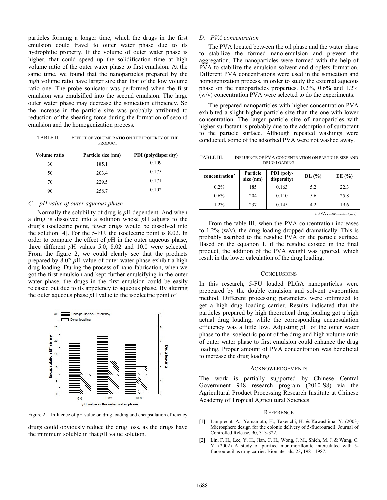particles forming a longer time, which the drugs in the first emulsion could travel to outer water phase due to its hydrophilic property. If the volume of outer water phase is higher, that could speed up the solidification time at high volume ratio of the outer water phase to first emulsion. At the same time, we found that the nanoparticles prepared by the high volume ratio have larger size than that of the low volume ratio one. The probe sonicator was performed when the first emulsion was emulsified into the second emulsion. The large outer water phase may decrease the sonication efficiency. So the increase in the particle size was probably attributed to reduction of the shearing force during the formation of second emulsion and the homogenization process.

TABLE II. EFFECT OF VOLUME RATIO ON THE PROPERTY OF THE PRODUCT

| Volume ratio | Particle size (nm) | <b>PDI</b> (polydispersity) |
|--------------|--------------------|-----------------------------|
| 30           | 185.1              | 0.109                       |
| 50           | 203.4              | 0.175                       |
| 70           | 229.5              | 0.171                       |
| 90           | 258.7              | 0.102                       |

#### *C. pH value of outer aqueous phase*

Normally the solubility of drug is *p*H dependent. And when a drug is dissolved into a solution whose *p*H adjusts to the drug's isoelectric point, fewer drugs would be dissolved into the solution [4]. For the 5-FU, the isoelectric point is 8.02. In order to compare the effect of *p*H in the outer aqueous phase, three different *p*H values 5.0, 8.02 and 10.0 were selected. From the figure 2, we could clearly see that the products prepared by 8.02 *p*H value of outer water phase exhibit a high drug loading. During the process of nano-fabrication, when we got the first emulsion and kept further emulsifying in the outer water phase, the drugs in the first emulsion could be easily released out due to its appetency to aqueous phase. By altering the outer aqueous phase *p*H value to the isoelectric point of



Figure 2. Influence of pH value on drug loading and encapsulation efficiency

drugs could obviously reduce the drug loss, as the drugs have the minimum soluble in that *p*H value solution.

#### *D. PVA concentration*

The PVA located between the oil phase and the water phase to stabilize the formed nano-emulsion and prevent the aggregation. The nanoparticles were formed with the help of PVA to stabilize the emulsion solvent and droplets formation. Different PVA concentrations were used in the sonication and homogenization process, in order to study the external aqueous phase on the nanoparticles properties. 0.2%, 0.6% and 1.2% (w/v) concentration PVA were selected to do the experiments.

The prepared nanoparticles with higher concentration PVA exhibited a slight higher particle size than the one with lower concentration. The larger particle size of nanoparicles with higher surfactant is probably due to the adsorption of surfactant to the particle surface. Although repeated washings were conducted, some of the adsorbed PVA were not washed away.

TABLE III. INFLUENCE OF PVA CONCENTRATION ON PARTICLE SIZE AND DRUG LOADING

| concentration <sup>a</sup> | Particle<br>size (nm) | PDI (poly-<br>dispersity) | DL(%) | EE $(\% )$ |
|----------------------------|-----------------------|---------------------------|-------|------------|
| $0.2\%$                    | 185                   | 0.163                     | 5.2   | 22.3       |
| $0.6\%$                    | 204                   | 0.110                     | 5.6   | 25.8       |
| $1.2\%$                    | 237                   | 0.145                     | 4.2   | 19.6       |

a. PVA concentration (w/v)

From the table III, when the PVA concentration increases to 1.2% (w/v), the drug loading dropped dramatically. This is probably ascribed to the residue PVA on the particle surface. Based on the equation 1, if the residue existed in the final product, the addition of the PVA weight was ignored, which result in the lower calculation of the drug loading.

#### **CONCLUSIONS**

In this research, 5-FU loaded PLGA nanoparticles were prepeared by the double emulsion and solvent evaporation method. Different processing parameters were optimized to get a high drug loading carrier. Results indicated that the particles prepared by high theoretical drug loading got a high actual drug loading, while the corresponding encapsulation efficiency was a little low. Adjusting *p*H of the outer water phase to the isoelectric point of the drug and high volume ratio of outer water phase to first emulsion could enhance the drug loading. Proper amount of PVA concentration was beneficial to increase the drug loading.

#### ACKNOWLEDGEMENTS

The work is partially supported by Chinese Central Government 948 research program (2010-S8) via the Agricultural Product Processing Research Institute at Chinese Academy of Tropical Agricultural Sciences.

#### **REFERENCE**

- [1] Lamprecht, A., Yamamoto, H., Takeuchi, H. & Kawashima, Y. (2003) Microsphere design for the colonic delivery of 5-fluorouracil. Journal of Controlled Release, 90, 313-322.
- [2] Lin, F. H., Lee, Y. H., Jian, C. H., Wong, J. M., Shieh, M. J. & Wang, C. Y. (2002) A study of purified montmorillonite intercalated with 5 fluorouracil as drug carrier. Biomaterials, 23**,** 1981-1987.